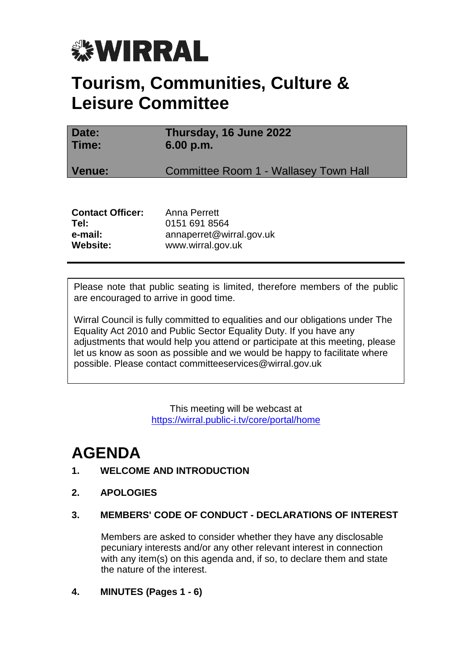

# **Tourism, Communities, Culture & Leisure Committee**

| Date:<br>Time: | Thursday, 16 June 2022<br>6.00 p.m.          |
|----------------|----------------------------------------------|
| Venue:         | <b>Committee Room 1 - Wallasey Town Hall</b> |
|                |                                              |

| Anna Perrett             |
|--------------------------|
| 0151 691 8564            |
| annaperret@wirral.gov.uk |
| www.wirral.gov.uk        |
|                          |

Please note that public seating is limited, therefore members of the public are encouraged to arrive in good time.

Wirral Council is fully committed to equalities and our obligations under The Equality Act 2010 and Public Sector Equality Duty. If you have any adjustments that would help you attend or participate at this meeting, please let us know as soon as possible and we would be happy to facilitate where possible. Please contact committeeservices@wirral.gov.uk

> This meeting will be webcast at <https://wirral.public-i.tv/core/portal/home>

# **AGENDA**

# **1. WELCOME AND INTRODUCTION**

**2. APOLOGIES**

# **3. MEMBERS' CODE OF CONDUCT - DECLARATIONS OF INTEREST**

Members are asked to consider whether they have any disclosable pecuniary interests and/or any other relevant interest in connection with any item(s) on this agenda and, if so, to declare them and state the nature of the interest.

**4. MINUTES (Pages 1 - 6)**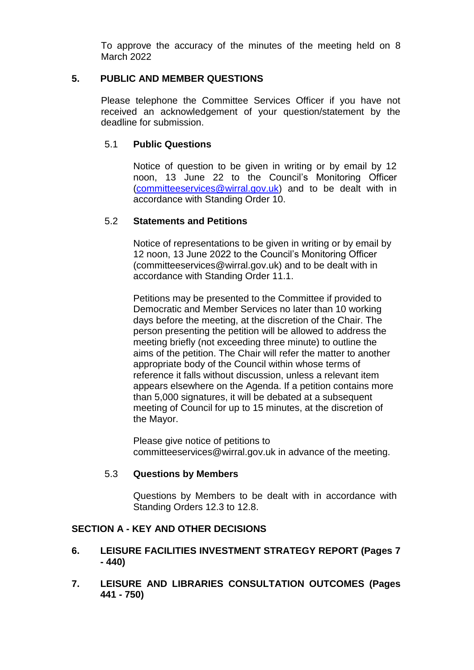To approve the accuracy of the minutes of the meeting held on 8 March 2022

### **5. PUBLIC AND MEMBER QUESTIONS**

Please telephone the Committee Services Officer if you have not received an acknowledgement of your question/statement by the deadline for submission.

## 5.1 **Public Questions**

Notice of question to be given in writing or by email by 12 noon, 13 June 22 to the Council's Monitoring Officer [\(committeeservices@wirral.gov.uk\)](mailto:committeeservices@wirral.gov.uk) and to be dealt with in accordance with Standing Order 10.

#### 5.2 **Statements and Petitions**

Notice of representations to be given in writing or by email by 12 noon, 13 June 2022 to the Council's Monitoring Officer (committeeservices@wirral.gov.uk) and to be dealt with in accordance with Standing Order 11.1.

Petitions may be presented to the Committee if provided to Democratic and Member Services no later than 10 working days before the meeting, at the discretion of the Chair. The person presenting the petition will be allowed to address the meeting briefly (not exceeding three minute) to outline the aims of the petition. The Chair will refer the matter to another appropriate body of the Council within whose terms of reference it falls without discussion, unless a relevant item appears elsewhere on the Agenda. If a petition contains more than 5,000 signatures, it will be debated at a subsequent meeting of Council for up to 15 minutes, at the discretion of the Mayor.

Please give notice of petitions to committeeservices@wirral.gov.uk in advance of the meeting.

#### 5.3 **Questions by Members**

Questions by Members to be dealt with in accordance with Standing Orders 12.3 to 12.8.

## **SECTION A - KEY AND OTHER DECISIONS**

#### **6. LEISURE FACILITIES INVESTMENT STRATEGY REPORT (Pages 7 - 440)**

**7. LEISURE AND LIBRARIES CONSULTATION OUTCOMES (Pages 441 - 750)**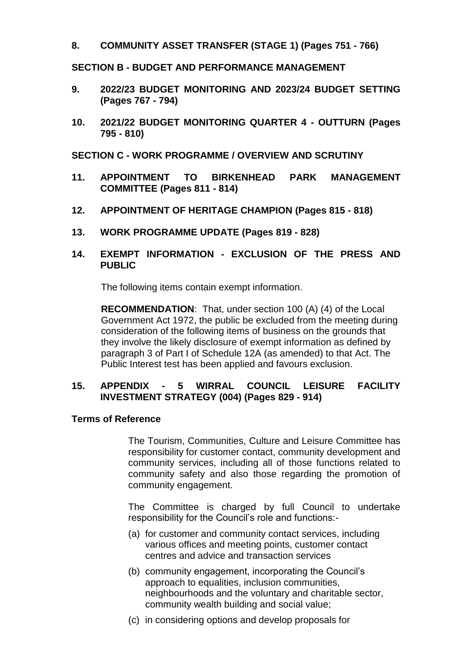#### **8. COMMUNITY ASSET TRANSFER (STAGE 1) (Pages 751 - 766)**

### **SECTION B - BUDGET AND PERFORMANCE MANAGEMENT**

- **9. 2022/23 BUDGET MONITORING AND 2023/24 BUDGET SETTING (Pages 767 - 794)**
- **10. 2021/22 BUDGET MONITORING QUARTER 4 - OUTTURN (Pages 795 - 810)**

**SECTION C - WORK PROGRAMME / OVERVIEW AND SCRUTINY**

- **11. APPOINTMENT TO BIRKENHEAD PARK MANAGEMENT COMMITTEE (Pages 811 - 814)**
- **12. APPOINTMENT OF HERITAGE CHAMPION (Pages 815 - 818)**
- **13. WORK PROGRAMME UPDATE (Pages 819 - 828)**

### **14. EXEMPT INFORMATION - EXCLUSION OF THE PRESS AND PUBLIC**

The following items contain exempt information.

**RECOMMENDATION**: That, under section 100 (A) (4) of the Local Government Act 1972, the public be excluded from the meeting during consideration of the following items of business on the grounds that they involve the likely disclosure of exempt information as defined by paragraph 3 of Part I of Schedule 12A (as amended) to that Act. The Public Interest test has been applied and favours exclusion.

## **15. APPENDIX - 5 WIRRAL COUNCIL LEISURE FACILITY INVESTMENT STRATEGY (004) (Pages 829 - 914)**

## **Terms of Reference**

The Tourism, Communities, Culture and Leisure Committee has responsibility for customer contact, community development and community services, including all of those functions related to community safety and also those regarding the promotion of community engagement.

The Committee is charged by full Council to undertake responsibility for the Council's role and functions:-

- (a) for customer and community contact services, including various offices and meeting points, customer contact centres and advice and transaction services
- (b) community engagement, incorporating the Council's approach to equalities, inclusion communities, neighbourhoods and the voluntary and charitable sector, community wealth building and social value;
- (c) in considering options and develop proposals for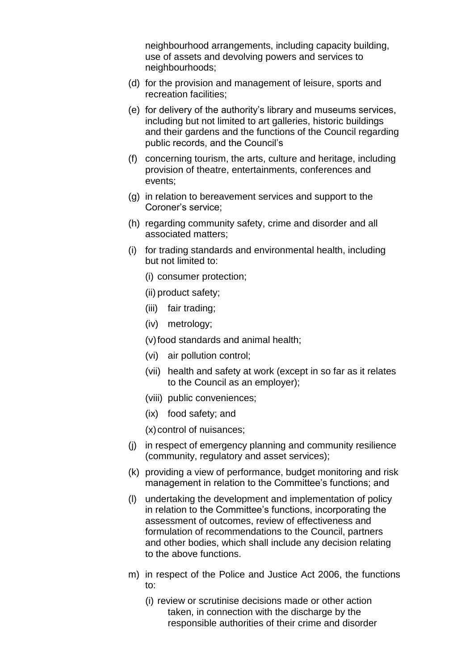neighbourhood arrangements, including capacity building, use of assets and devolving powers and services to neighbourhoods;

- (d) for the provision and management of leisure, sports and recreation facilities;
- (e) for delivery of the authority's library and museums services, including but not limited to art galleries, historic buildings and their gardens and the functions of the Council regarding public records, and the Council's
- (f) concerning tourism, the arts, culture and heritage, including provision of theatre, entertainments, conferences and events;
- (g) in relation to bereavement services and support to the Coroner's service;
- (h) regarding community safety, crime and disorder and all associated matters;
- (i) for trading standards and environmental health, including but not limited to:
	- (i) consumer protection;
	- (ii) product safety;
	- (iii) fair trading;
	- (iv) metrology;

(v)food standards and animal health;

- (vi) air pollution control;
- (vii) health and safety at work (except in so far as it relates to the Council as an employer);
- (viii) public conveniences;
- (ix) food safety; and
- $(x)$  control of nuisances;
- (j) in respect of emergency planning and community resilience (community, regulatory and asset services);
- (k) providing a view of performance, budget monitoring and risk management in relation to the Committee's functions; and
- (l) undertaking the development and implementation of policy in relation to the Committee's functions, incorporating the assessment of outcomes, review of effectiveness and formulation of recommendations to the Council, partners and other bodies, which shall include any decision relating to the above functions.
- m) in respect of the Police and Justice Act 2006, the functions to:
	- (i) review or scrutinise decisions made or other action taken, in connection with the discharge by the responsible authorities of their crime and disorder